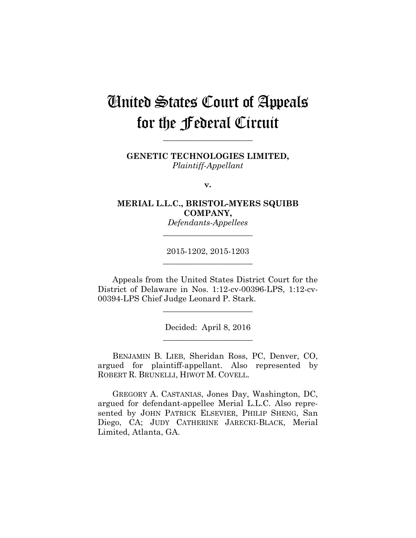# United States Court of Appeals for the Federal Circuit

**GENETIC TECHNOLOGIES LIMITED,** *Plaintiff-Appellant*

**\_\_\_\_\_\_\_\_\_\_\_\_\_\_\_\_\_\_\_\_\_\_** 

**v.**

**MERIAL L.L.C., BRISTOL-MYERS SQUIBB COMPANY,**

*Defendants-Appellees* **\_\_\_\_\_\_\_\_\_\_\_\_\_\_\_\_\_\_\_\_\_\_** 

2015-1202, 2015-1203 **\_\_\_\_\_\_\_\_\_\_\_\_\_\_\_\_\_\_\_\_\_\_** 

Appeals from the United States District Court for the District of Delaware in Nos. 1:12-cv-00396-LPS, 1:12-cv-00394-LPS Chief Judge Leonard P. Stark.

**\_\_\_\_\_\_\_\_\_\_\_\_\_\_\_\_\_\_\_\_\_\_** 

Decided: April 8, 2016 **\_\_\_\_\_\_\_\_\_\_\_\_\_\_\_\_\_\_\_\_\_\_** 

BENJAMIN B. LIEB, Sheridan Ross, PC, Denver, CO, argued for plaintiff-appellant. Also represented by ROBERT R. BRUNELLI, HIWOT M. COVELL.

GREGORY A. CASTANIAS, Jones Day, Washington, DC, argued for defendant-appellee Merial L.L.C. Also represented by JOHN PATRICK ELSEVIER, PHILIP SHENG, San Diego, CA; JUDY CATHERINE JARECKI-BLACK, Merial Limited, Atlanta, GA.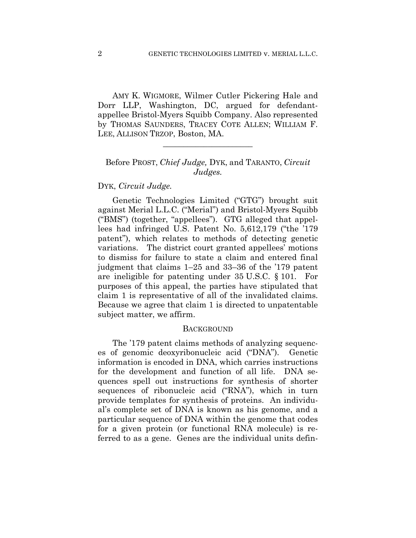AMY K. WIGMORE, Wilmer Cutler Pickering Hale and Dorr LLP, Washington, DC, argued for defendantappellee Bristol-Myers Squibb Company. Also represented by THOMAS SAUNDERS, TRACEY COTE ALLEN; WILLIAM F. LEE, ALLISON TRZOP, Boston, MA.

## Before PROST, *Chief Judge,* DYK, and TARANTO, *Circuit Judges.*

**\_\_\_\_\_\_\_\_\_\_\_\_\_\_\_\_\_\_\_\_\_\_** 

## DYK, *Circuit Judge.*

Genetic Technologies Limited ("GTG") brought suit against Merial L.L.C. ("Merial") and Bristol-Myers Squibb ("BMS") (together, "appellees"). GTG alleged that appellees had infringed U.S. Patent No. 5,612,179 ("the '179 patent"), which relates to methods of detecting genetic variations. The district court granted appellees' motions to dismiss for failure to state a claim and entered final judgment that claims 1–25 and 33–36 of the '179 patent are ineligible for patenting under 35 U.S.C. § 101. For purposes of this appeal, the parties have stipulated that claim 1 is representative of all of the invalidated claims. Because we agree that claim 1 is directed to unpatentable subject matter, we affirm.

#### **BACKGROUND**

The '179 patent claims methods of analyzing sequences of genomic deoxyribonucleic acid ("DNA"). Genetic information is encoded in DNA, which carries instructions for the development and function of all life. DNA sequences spell out instructions for synthesis of shorter sequences of ribonucleic acid ("RNA"), which in turn provide templates for synthesis of proteins. An individual's complete set of DNA is known as his genome, and a particular sequence of DNA within the genome that codes for a given protein (or functional RNA molecule) is referred to as a gene. Genes are the individual units defin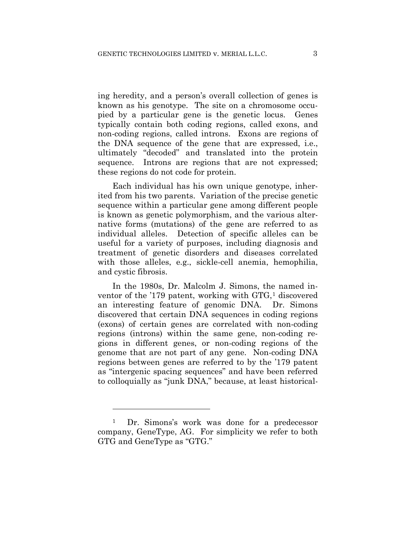ing heredity, and a person's overall collection of genes is known as his genotype. The site on a chromosome occupied by a particular gene is the genetic locus. Genes typically contain both coding regions, called exons, and non-coding regions, called introns. Exons are regions of the DNA sequence of the gene that are expressed, i.e., ultimately "decoded" and translated into the protein sequence. Introns are regions that are not expressed; these regions do not code for protein.

Each individual has his own unique genotype, inherited from his two parents. Variation of the precise genetic sequence within a particular gene among different people is known as genetic polymorphism, and the various alternative forms (mutations) of the gene are referred to as individual alleles. Detection of specific alleles can be useful for a variety of purposes, including diagnosis and treatment of genetic disorders and diseases correlated with those alleles, e.g., sickle-cell anemia, hemophilia, and cystic fibrosis.

In the 1980s, Dr. Malcolm J. Simons, the named inventor of the '179 patent, working with GTG,<sup>1</sup> discovered an interesting feature of genomic DNA. Dr. Simons discovered that certain DNA sequences in coding regions (exons) of certain genes are correlated with non-coding regions (introns) within the same gene, non-coding regions in different genes, or non-coding regions of the genome that are not part of any gene. Non-coding DNA regions between genes are referred to by the '179 patent as "intergenic spacing sequences" and have been referred to colloquially as "junk DNA," because, at least historical-

1

<sup>1</sup> Dr. Simons's work was done for a predecessor company, GeneType, AG. For simplicity we refer to both GTG and GeneType as "GTG."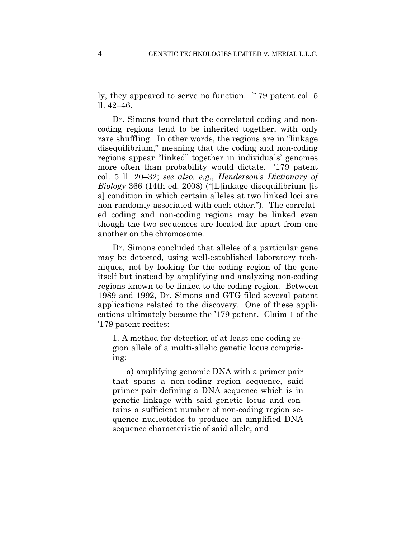ly, they appeared to serve no function. '179 patent col. 5 ll. 42–46.

Dr. Simons found that the correlated coding and noncoding regions tend to be inherited together, with only rare shuffling. In other words, the regions are in "linkage disequilibrium," meaning that the coding and non-coding regions appear "linked" together in individuals' genomes more often than probability would dictate. '179 patent col. 5 ll. 20–32; *see also, e.g.*, *Henderson's Dictionary of Biology* 366 (14th ed. 2008) ("[L]inkage disequilibrium [is a] condition in which certain alleles at two linked loci are non-randomly associated with each other."). The correlated coding and non-coding regions may be linked even though the two sequences are located far apart from one another on the chromosome.

Dr. Simons concluded that alleles of a particular gene may be detected, using well-established laboratory techniques, not by looking for the coding region of the gene itself but instead by amplifying and analyzing non-coding regions known to be linked to the coding region. Between 1989 and 1992, Dr. Simons and GTG filed several patent applications related to the discovery. One of these applications ultimately became the '179 patent. Claim 1 of the '179 patent recites:

1. A method for detection of at least one coding region allele of a multi-allelic genetic locus comprising:

a) amplifying genomic DNA with a primer pair that spans a non-coding region sequence, said primer pair defining a DNA sequence which is in genetic linkage with said genetic locus and contains a sufficient number of non-coding region sequence nucleotides to produce an amplified DNA sequence characteristic of said allele; and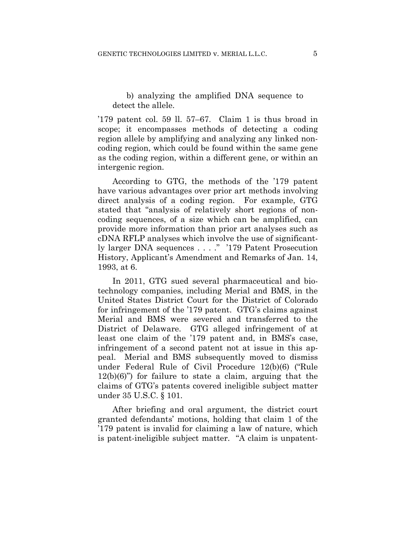## b) analyzing the amplified DNA sequence to detect the allele.

'179 patent col. 59 ll. 57–67. Claim 1 is thus broad in scope; it encompasses methods of detecting a coding region allele by amplifying and analyzing any linked noncoding region, which could be found within the same gene as the coding region, within a different gene, or within an intergenic region.

According to GTG, the methods of the '179 patent have various advantages over prior art methods involving direct analysis of a coding region. For example, GTG stated that "analysis of relatively short regions of noncoding sequences, of a size which can be amplified, can provide more information than prior art analyses such as cDNA RFLP analyses which involve the use of significantly larger DNA sequences . . . ." '179 Patent Prosecution History, Applicant's Amendment and Remarks of Jan. 14, 1993, at 6.

In 2011, GTG sued several pharmaceutical and biotechnology companies, including Merial and BMS, in the United States District Court for the District of Colorado for infringement of the '179 patent. GTG's claims against Merial and BMS were severed and transferred to the District of Delaware. GTG alleged infringement of at least one claim of the '179 patent and, in BMS's case, infringement of a second patent not at issue in this appeal. Merial and BMS subsequently moved to dismiss under Federal Rule of Civil Procedure 12(b)(6) ("Rule 12(b)(6)") for failure to state a claim, arguing that the claims of GTG's patents covered ineligible subject matter under 35 U.S.C. § 101.

After briefing and oral argument, the district court granted defendants' motions, holding that claim 1 of the '179 patent is invalid for claiming a law of nature, which is patent-ineligible subject matter. "A claim is unpatent-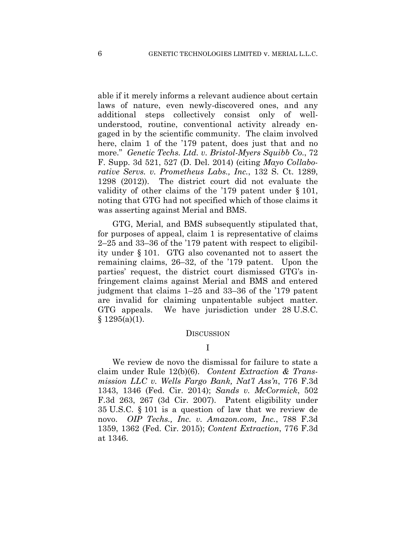able if it merely informs a relevant audience about certain laws of nature, even newly-discovered ones, and any additional steps collectively consist only of wellunderstood, routine, conventional activity already engaged in by the scientific community. The claim involved here, claim 1 of the '179 patent, does just that and no more." *Genetic Techs. Ltd. v. Bristol-Myers Squibb Co.*, 72 F. Supp. 3d 521, 527 (D. Del. 2014) (citing *Mayo Collaborative Servs. v. Prometheus Labs., Inc.*, 132 S. Ct. 1289, 1298 (2012)). The district court did not evaluate the validity of other claims of the '179 patent under § 101, noting that GTG had not specified which of those claims it was asserting against Merial and BMS.

GTG, Merial, and BMS subsequently stipulated that, for purposes of appeal, claim 1 is representative of claims 2–25 and 33–36 of the '179 patent with respect to eligibility under § 101. GTG also covenanted not to assert the remaining claims, 26–32, of the '179 patent. Upon the parties' request, the district court dismissed GTG's infringement claims against Merial and BMS and entered judgment that claims 1–25 and 33–36 of the '179 patent are invalid for claiming unpatentable subject matter. GTG appeals. We have jurisdiction under 28 U.S.C.  $§ 1295(a)(1).$ 

#### **DISCUSSION**

I

We review de novo the dismissal for failure to state a claim under Rule 12(b)(6). *Content Extraction & Transmission LLC v. Wells Fargo Bank, Nat'l Ass'n*, 776 F.3d 1343, 1346 (Fed. Cir. 2014); *Sands v. McCormick*, 502 F.3d 263, 267 (3d Cir. 2007). Patent eligibility under 35 U.S.C. § 101 is a question of law that we review de novo. *OIP Techs., Inc. v. Amazon.com, Inc.*, 788 F.3d 1359, 1362 (Fed. Cir. 2015); *Content Extraction*, 776 F.3d at 1346.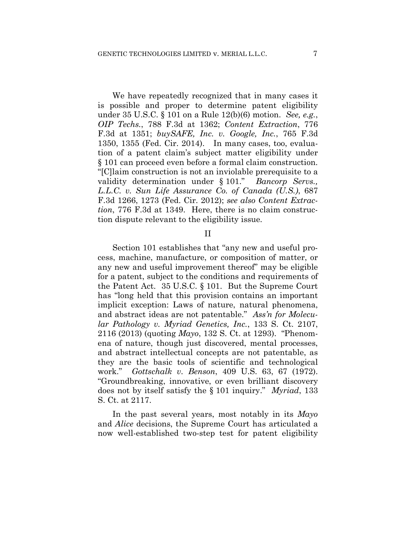We have repeatedly recognized that in many cases it is possible and proper to determine patent eligibility under 35 U.S.C. § 101 on a Rule 12(b)(6) motion. *See, e.g.*, *OIP Techs.*, 788 F.3d at 1362; *Content Extraction*, 776 F.3d at 1351; *buySAFE, Inc. v. Google, Inc.*, 765 F.3d 1350, 1355 (Fed. Cir. 2014). In many cases, too, evaluation of a patent claim's subject matter eligibility under § 101 can proceed even before a formal claim construction. "[C]laim construction is not an inviolable prerequisite to a validity determination under § 101." *Bancorp Servs., L.L.C. v. Sun Life Assurance Co. of Canada (U.S.)*, 687 F.3d 1266, 1273 (Fed. Cir. 2012); *see also Content Extraction*, 776 F.3d at 1349. Here, there is no claim construction dispute relevant to the eligibility issue.

#### II

Section 101 establishes that "any new and useful process, machine, manufacture, or composition of matter, or any new and useful improvement thereof" may be eligible for a patent, subject to the conditions and requirements of the Patent Act. 35 U.S.C. § 101. But the Supreme Court has "long held that this provision contains an important implicit exception: Laws of nature, natural phenomena, and abstract ideas are not patentable." *Ass'n for Molecular Pathology v. Myriad Genetics, Inc.*, 133 S. Ct. 2107, 2116 (2013) (quoting *Mayo*, 132 S. Ct. at 1293). "Phenomena of nature, though just discovered, mental processes, and abstract intellectual concepts are not patentable, as they are the basic tools of scientific and technological work." *Gottschalk v. Benson*, 409 U.S. 63, 67 (1972). "Groundbreaking, innovative, or even brilliant discovery does not by itself satisfy the § 101 inquiry." *Myriad*, 133 S. Ct. at 2117.

In the past several years, most notably in its *Mayo* and *Alice* decisions, the Supreme Court has articulated a now well-established two-step test for patent eligibility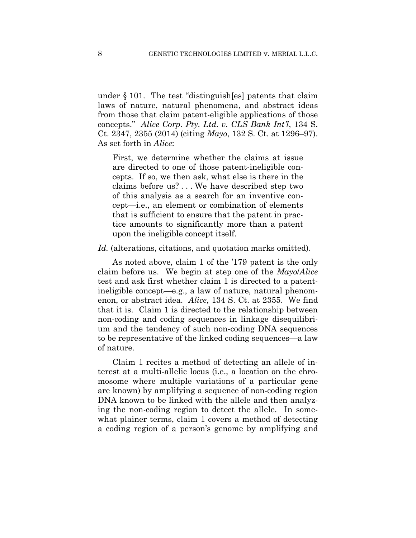under § 101. The test "distinguish[es] patents that claim laws of nature, natural phenomena, and abstract ideas from those that claim patent-eligible applications of those concepts." *Alice Corp. Pty. Ltd. v. CLS Bank Int'l*, 134 S. Ct. 2347, 2355 (2014) (citing *Mayo*, 132 S. Ct. at 1296–97). As set forth in *Alice*:

First, we determine whether the claims at issue are directed to one of those patent-ineligible concepts. If so, we then ask, what else is there in the claims before us? . . . We have described step two of this analysis as a search for an inventive concept—i.e., an element or combination of elements that is sufficient to ensure that the patent in practice amounts to significantly more than a patent upon the ineligible concept itself.

*Id.* (alterations, citations, and quotation marks omitted).

As noted above, claim 1 of the '179 patent is the only claim before us. We begin at step one of the *Mayo*/*Alice* test and ask first whether claim 1 is directed to a patentineligible concept—e.g., a law of nature, natural phenomenon, or abstract idea. *Alice*, 134 S. Ct. at 2355. We find that it is. Claim 1 is directed to the relationship between non-coding and coding sequences in linkage disequilibrium and the tendency of such non-coding DNA sequences to be representative of the linked coding sequences—a law of nature.

Claim 1 recites a method of detecting an allele of interest at a multi-allelic locus (i.e., a location on the chromosome where multiple variations of a particular gene are known) by amplifying a sequence of non-coding region DNA known to be linked with the allele and then analyzing the non-coding region to detect the allele. In somewhat plainer terms, claim 1 covers a method of detecting a coding region of a person's genome by amplifying and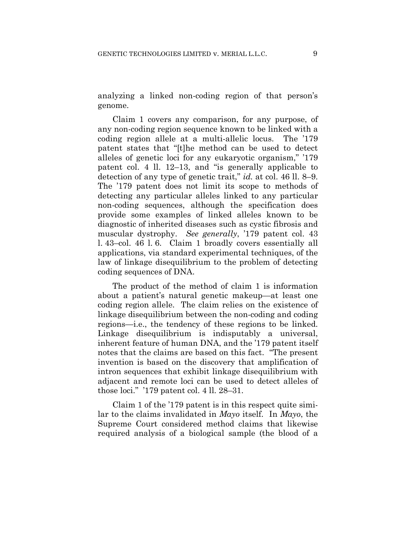analyzing a linked non-coding region of that person's genome.

Claim 1 covers any comparison, for any purpose, of any non-coding region sequence known to be linked with a coding region allele at a multi-allelic locus. The '179 patent states that "[t]he method can be used to detect alleles of genetic loci for any eukaryotic organism," '179 patent col. 4 ll. 12–13, and "is generally applicable to detection of any type of genetic trait," *id.* at col. 46 ll. 8–9. The '179 patent does not limit its scope to methods of detecting any particular alleles linked to any particular non-coding sequences, although the specification does provide some examples of linked alleles known to be diagnostic of inherited diseases such as cystic fibrosis and muscular dystrophy. *See generally*, '179 patent col. 43 l. 43–col. 46 l. 6. Claim 1 broadly covers essentially all applications, via standard experimental techniques, of the law of linkage disequilibrium to the problem of detecting coding sequences of DNA.

The product of the method of claim 1 is information about a patient's natural genetic makeup—at least one coding region allele. The claim relies on the existence of linkage disequilibrium between the non-coding and coding regions—i.e., the tendency of these regions to be linked. Linkage disequilibrium is indisputably a universal, inherent feature of human DNA, and the '179 patent itself notes that the claims are based on this fact. "The present invention is based on the discovery that amplification of intron sequences that exhibit linkage disequilibrium with adjacent and remote loci can be used to detect alleles of those loci." '179 patent col. 4 ll. 28–31.

Claim 1 of the '179 patent is in this respect quite similar to the claims invalidated in *Mayo* itself. In *Mayo*, the Supreme Court considered method claims that likewise required analysis of a biological sample (the blood of a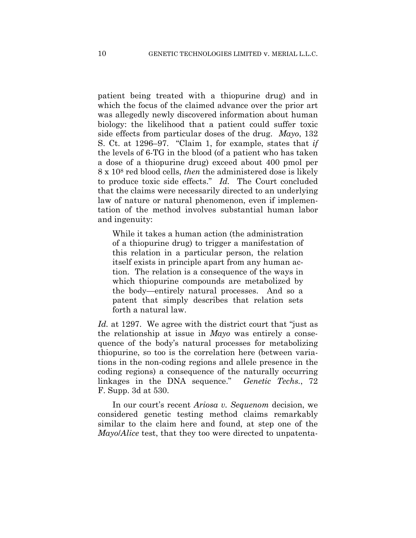patient being treated with a thiopurine drug) and in which the focus of the claimed advance over the prior art was allegedly newly discovered information about human biology: the likelihood that a patient could suffer toxic side effects from particular doses of the drug. *Mayo*, 132 S. Ct. at 1296–97. "Claim 1, for example, states that *if* the levels of 6-TG in the blood (of a patient who has taken a dose of a thiopurine drug) exceed about 400 pmol per 8 x 108 red blood cells, *then* the administered dose is likely to produce toxic side effects." *Id.* The Court concluded that the claims were necessarily directed to an underlying law of nature or natural phenomenon, even if implementation of the method involves substantial human labor and ingenuity:

While it takes a human action (the administration of a thiopurine drug) to trigger a manifestation of this relation in a particular person, the relation itself exists in principle apart from any human action. The relation is a consequence of the ways in which thiopurine compounds are metabolized by the body—entirely natural processes. And so a patent that simply describes that relation sets forth a natural law.

*Id.* at 1297. We agree with the district court that "just as the relationship at issue in *Mayo* was entirely a consequence of the body's natural processes for metabolizing thiopurine, so too is the correlation here (between variations in the non-coding regions and allele presence in the coding regions) a consequence of the naturally occurring linkages in the DNA sequence." *Genetic Techs.*, 72 F. Supp. 3d at 530.

In our court's recent *Ariosa v. Sequenom* decision, we considered genetic testing method claims remarkably similar to the claim here and found, at step one of the *Mayo*/*Alice* test, that they too were directed to unpatenta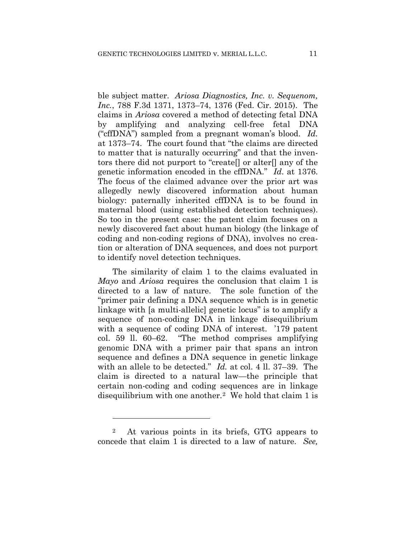ble subject matter. *Ariosa Diagnostics, Inc. v. Sequenom, Inc.*, 788 F.3d 1371, 1373–74, 1376 (Fed. Cir. 2015). The claims in *Ariosa* covered a method of detecting fetal DNA by amplifying and analyzing cell-free fetal DNA ("cffDNA") sampled from a pregnant woman's blood. *Id.* at 1373–74. The court found that "the claims are directed to matter that is naturally occurring" and that the inventors there did not purport to "create[] or alter[] any of the genetic information encoded in the cffDNA." *Id*. at 1376. The focus of the claimed advance over the prior art was allegedly newly discovered information about human biology: paternally inherited cffDNA is to be found in maternal blood (using established detection techniques). So too in the present case: the patent claim focuses on a newly discovered fact about human biology (the linkage of coding and non-coding regions of DNA), involves no creation or alteration of DNA sequences, and does not purport to identify novel detection techniques.

The similarity of claim 1 to the claims evaluated in *Mayo* and *Ariosa* requires the conclusion that claim 1 is directed to a law of nature. The sole function of the "primer pair defining a DNA sequence which is in genetic linkage with [a multi-allelic] genetic locus" is to amplify a sequence of non-coding DNA in linkage disequilibrium with a sequence of coding DNA of interest. '179 patent col. 59 ll. 60–62. "The method comprises amplifying genomic DNA with a primer pair that spans an intron sequence and defines a DNA sequence in genetic linkage with an allele to be detected." *Id.* at col. 4 ll. 37–39. The claim is directed to a natural law—the principle that certain non-coding and coding sequences are in linkage disequilibrium with one another.2 We hold that claim 1 is

1

<sup>2</sup> At various points in its briefs, GTG appears to concede that claim 1 is directed to a law of nature. *See,*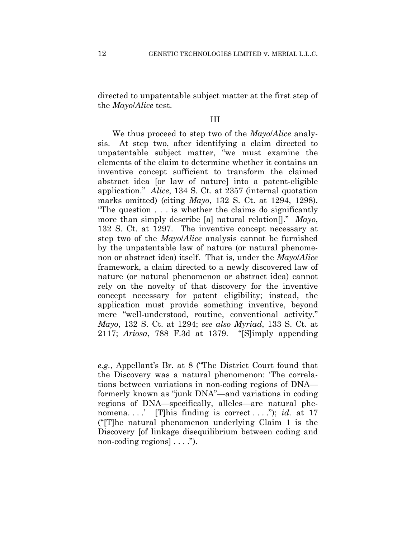directed to unpatentable subject matter at the first step of the *Mayo*/*Alice* test.

## III

We thus proceed to step two of the *Mayo*/*Alice* analysis. At step two, after identifying a claim directed to unpatentable subject matter, "we must examine the elements of the claim to determine whether it contains an inventive concept sufficient to transform the claimed abstract idea [or law of nature] into a patent-eligible application." *Alice*, 134 S. Ct. at 2357 (internal quotation marks omitted) (citing *Mayo*, 132 S. Ct. at 1294, 1298). "The question . . . is whether the claims do significantly more than simply describe [a] natural relation[]." *Mayo*, 132 S. Ct. at 1297. The inventive concept necessary at step two of the *Mayo*/*Alice* analysis cannot be furnished by the unpatentable law of nature (or natural phenomenon or abstract idea) itself. That is, under the *Mayo*/*Alice*  framework, a claim directed to a newly discovered law of nature (or natural phenomenon or abstract idea) cannot rely on the novelty of that discovery for the inventive concept necessary for patent eligibility; instead, the application must provide something inventive, beyond mere "well-understood, routine, conventional activity." *Mayo*, 132 S. Ct. at 1294; *see also Myriad*, 133 S. Ct. at 2117; *Ariosa*, 788 F.3d at 1379. "[S]imply appending

l

*e.g.*, Appellant's Br. at 8 ("The District Court found that the Discovery was a natural phenomenon: 'The correlations between variations in non-coding regions of DNA formerly known as "junk DNA"—and variations in coding regions of DNA—specifically, alleles—are natural phenomena. . . .' [T]his finding is correct . . . ."); *id.* at 17 ("[T]he natural phenomenon underlying Claim 1 is the Discovery [of linkage disequilibrium between coding and non-coding regions  $| \dots$ ").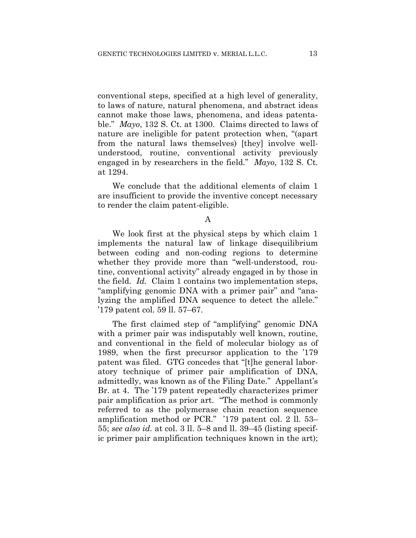conventional steps, specified at a high level of generality, to laws of nature, natural phenomena, and abstract ideas cannot make those laws, phenomena, and ideas patentable." *Mayo*, 132 S. Ct. at 1300. Claims directed to laws of nature are ineligible for patent protection when, "(apart from the natural laws themselves) [they] involve wellunderstood, routine, conventional activity previously engaged in by researchers in the field." *Mayo*, 132 S. Ct. at 1294.

We conclude that the additional elements of claim 1 are insufficient to provide the inventive concept necessary to render the claim patent-eligible.

We look first at the physical steps by which claim 1 implements the natural law of linkage disequilibrium between coding and non-coding regions to determine whether they provide more than "well-understood, routine, conventional activity" already engaged in by those in the field. *Id.* Claim 1 contains two implementation steps, "amplifying genomic DNA with a primer pair" and "analyzing the amplified DNA sequence to detect the allele." '179 patent col. 59 ll. 57–67.

The first claimed step of "amplifying" genomic DNA with a primer pair was indisputably well known, routine, and conventional in the field of molecular biology as of 1989, when the first precursor application to the '179 patent was filed. GTG concedes that "[t]he general laboratory technique of primer pair amplification of DNA, admittedly, was known as of the Filing Date." Appellant's Br. at 4. The '179 patent repeatedly characterizes primer pair amplification as prior art. "The method is commonly referred to as the polymerase chain reaction sequence amplification method or PCR." '179 patent col. 2 ll. 53– 55; *see also id.* at col. 3 ll. 5–8 and ll. 39–45 (listing specific primer pair amplification techniques known in the art);

A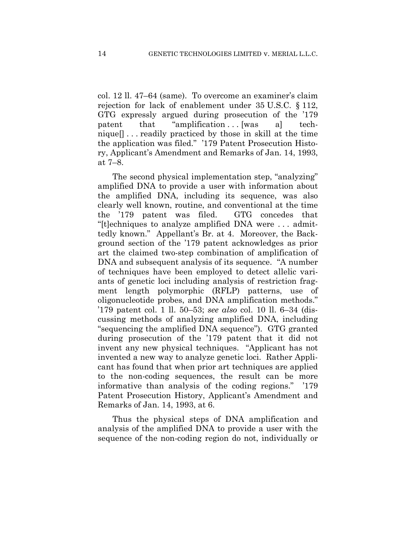col. 12 ll. 47–64 (same). To overcome an examiner's claim rejection for lack of enablement under 35 U.S.C. § 112, GTG expressly argued during prosecution of the '179 patent that "amplification... [was a] technique[] . . . readily practiced by those in skill at the time the application was filed." '179 Patent Prosecution History, Applicant's Amendment and Remarks of Jan. 14, 1993, at 7–8.

The second physical implementation step, "analyzing" amplified DNA to provide a user with information about the amplified DNA, including its sequence, was also clearly well known, routine, and conventional at the time the '179 patent was filed. GTG concedes that "[t]echniques to analyze amplified DNA were . . . admittedly known." Appellant's Br. at 4. Moreover, the Background section of the '179 patent acknowledges as prior art the claimed two-step combination of amplification of DNA and subsequent analysis of its sequence. "A number of techniques have been employed to detect allelic variants of genetic loci including analysis of restriction fragment length polymorphic (RFLP) patterns, use of oligonucleotide probes, and DNA amplification methods." '179 patent col. 1 ll. 50–53; *see also* col. 10 ll. 6–34 (discussing methods of analyzing amplified DNA, including "sequencing the amplified DNA sequence"). GTG granted during prosecution of the '179 patent that it did not invent any new physical techniques. "Applicant has not invented a new way to analyze genetic loci. Rather Applicant has found that when prior art techniques are applied to the non-coding sequences, the result can be more informative than analysis of the coding regions." '179 Patent Prosecution History, Applicant's Amendment and Remarks of Jan. 14, 1993, at 6.

Thus the physical steps of DNA amplification and analysis of the amplified DNA to provide a user with the sequence of the non-coding region do not, individually or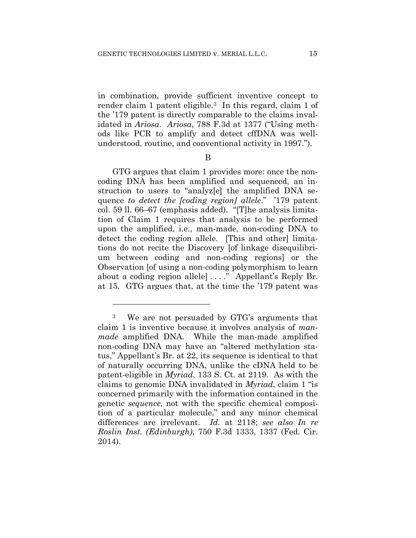in combination, provide sufficient inventive concept to render claim 1 patent eligible.3 In this regard, claim 1 of the '179 patent is directly comparable to the claims invalidated in *Ariosa*. *Ariosa*, 788 F.3d at 1377 ("Using methods like PCR to amplify and detect cffDNA was wellunderstood, routine, and conventional activity in 1997.").

B

GTG argues that claim 1 provides more: once the noncoding DNA has been amplified and sequenced, an instruction to users to "analyz[e] the amplified DNA sequence *to detect the [coding region] allele*." '179 patent col. 59 ll. 66–67 (emphasis added). "[T]he analysis limitation of Claim 1 requires that analysis to be performed upon the amplified, i.e., man-made, non-coding DNA to detect the coding region allele. [This and other] limitations do not recite the Discovery [of linkage disequilibrium between coding and non-coding regions] or the Observation [of using a non-coding polymorphism to learn about a coding region allele] . . . ." Appellant's Reply Br. at 15. GTG argues that, at the time the '179 patent was

1

<sup>3</sup> We are not persuaded by GTG's arguments that claim 1 is inventive because it involves analysis of *manmade* amplified DNA. While the man-made amplified non-coding DNA may have an "altered methylation status," Appellant's Br. at 22, its sequence is identical to that of naturally occurring DNA, unlike the cDNA held to be patent-eligible in *Myriad*, 133 S. Ct. at 2119. As with the claims to genomic DNA invalidated in *Myriad*, claim 1 "is concerned primarily with the information contained in the genetic *sequence*, not with the specific chemical composition of a particular molecule," and any minor chemical differences are irrelevant. *Id.* at 2118; *see also In re Roslin Inst. (Edinburgh)*, 750 F.3d 1333, 1337 (Fed. Cir. 2014).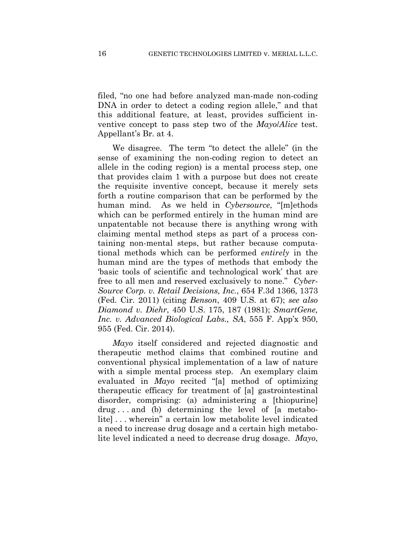filed, "no one had before analyzed man-made non-coding DNA in order to detect a coding region allele," and that this additional feature, at least, provides sufficient inventive concept to pass step two of the *Mayo*/*Alice* test. Appellant's Br. at 4.

We disagree. The term "to detect the allele" (in the sense of examining the non-coding region to detect an allele in the coding region) is a mental process step, one that provides claim 1 with a purpose but does not create the requisite inventive concept, because it merely sets forth a routine comparison that can be performed by the human mind. As we held in *Cybersource*, "[m]ethods which can be performed entirely in the human mind are unpatentable not because there is anything wrong with claiming mental method steps as part of a process containing non-mental steps, but rather because computational methods which can be performed *entirely* in the human mind are the types of methods that embody the 'basic tools of scientific and technological work' that are free to all men and reserved exclusively to none." *Cyber-Source Corp. v. Retail Decisions, Inc.*, 654 F.3d 1366, 1373 (Fed. Cir. 2011) (citing *Benson*, 409 U.S. at 67); *see also Diamond v. Diehr*, 450 U.S. 175, 187 (1981); *SmartGene, Inc. v. Advanced Biological Labs., SA*, 555 F. App'x 950, 955 (Fed. Cir. 2014).

*Mayo* itself considered and rejected diagnostic and therapeutic method claims that combined routine and conventional physical implementation of a law of nature with a simple mental process step. An exemplary claim evaluated in *Mayo* recited "[a] method of optimizing therapeutic efficacy for treatment of [a] gastrointestinal disorder, comprising: (a) administering a [thiopurine] drug . . . and (b) determining the level of [a metabolite] . . . wherein" a certain low metabolite level indicated a need to increase drug dosage and a certain high metabolite level indicated a need to decrease drug dosage. *Mayo*,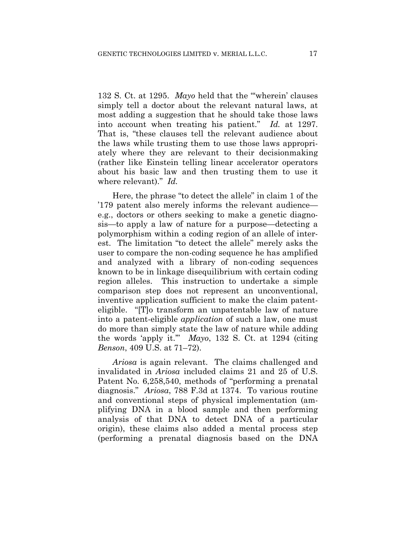132 S. Ct. at 1295. *Mayo* held that the "'wherein' clauses simply tell a doctor about the relevant natural laws, at most adding a suggestion that he should take those laws into account when treating his patient." *Id.* at 1297. That is, "these clauses tell the relevant audience about the laws while trusting them to use those laws appropriately where they are relevant to their decisionmaking (rather like Einstein telling linear accelerator operators about his basic law and then trusting them to use it where relevant)." *Id.*

Here, the phrase "to detect the allele" in claim 1 of the '179 patent also merely informs the relevant audience e.g., doctors or others seeking to make a genetic diagnosis—to apply a law of nature for a purpose—detecting a polymorphism within a coding region of an allele of interest. The limitation "to detect the allele" merely asks the user to compare the non-coding sequence he has amplified and analyzed with a library of non-coding sequences known to be in linkage disequilibrium with certain coding region alleles. This instruction to undertake a simple comparison step does not represent an unconventional, inventive application sufficient to make the claim patenteligible. "[T]o transform an unpatentable law of nature into a patent-eligible *application* of such a law, one must do more than simply state the law of nature while adding the words 'apply it.'" *Mayo*, 132 S. Ct. at 1294 (citing *Benson*, 409 U.S. at 71–72).

*Ariosa* is again relevant. The claims challenged and invalidated in *Ariosa* included claims 21 and 25 of U.S. Patent No. 6,258,540, methods of "performing a prenatal diagnosis." *Ariosa*, 788 F.3d at 1374. To various routine and conventional steps of physical implementation (amplifying DNA in a blood sample and then performing analysis of that DNA to detect DNA of a particular origin), these claims also added a mental process step (performing a prenatal diagnosis based on the DNA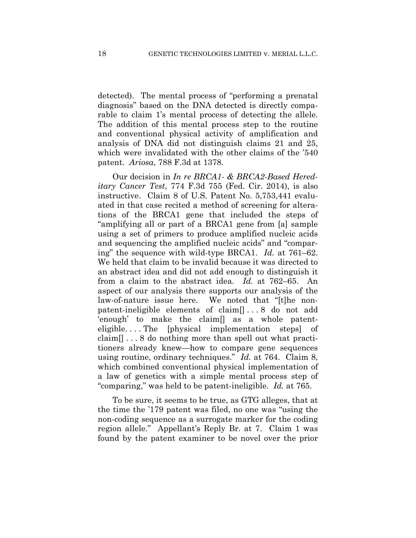detected). The mental process of "performing a prenatal diagnosis" based on the DNA detected is directly comparable to claim 1's mental process of detecting the allele. The addition of this mental process step to the routine and conventional physical activity of amplification and analysis of DNA did not distinguish claims 21 and 25, which were invalidated with the other claims of the '540 patent. *Ariosa*, 788 F.3d at 1378.

Our decision in *In re BRCA1- & BRCA2-Based Hereditary Cancer Test*, 774 F.3d 755 (Fed. Cir. 2014), is also instructive. Claim 8 of U.S. Patent No. 5,753,441 evaluated in that case recited a method of screening for alterations of the BRCA1 gene that included the steps of "amplifying all or part of a BRCA1 gene from [a] sample using a set of primers to produce amplified nucleic acids and sequencing the amplified nucleic acids" and "comparing" the sequence with wild-type BRCA1. *Id.* at 761–62. We held that claim to be invalid because it was directed to an abstract idea and did not add enough to distinguish it from a claim to the abstract idea. *Id.* at 762–65. An aspect of our analysis there supports our analysis of the law-of-nature issue here. We noted that "[t]he nonpatent-ineligible elements of claim[] . . . 8 do not add 'enough' to make the claim[] as a whole patenteligible. . . . The [physical implementation steps] of claim[] . . . 8 do nothing more than spell out what practitioners already knew—how to compare gene sequences using routine, ordinary techniques." *Id.* at 764. Claim 8, which combined conventional physical implementation of a law of genetics with a simple mental process step of "comparing," was held to be patent-ineligible. *Id.* at 765.

To be sure, it seems to be true, as GTG alleges, that at the time the '179 patent was filed, no one was "using the non-coding sequence as a surrogate marker for the coding region allele." Appellant's Reply Br. at 7. Claim 1 was found by the patent examiner to be novel over the prior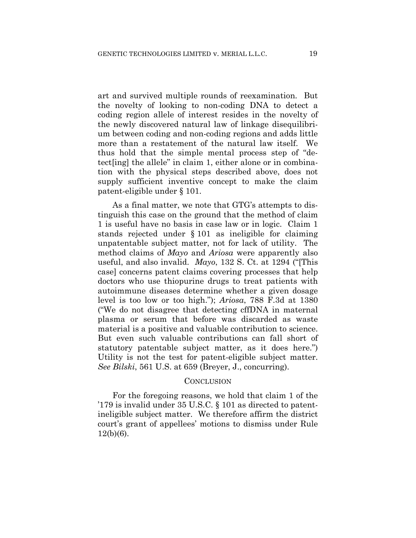art and survived multiple rounds of reexamination. But the novelty of looking to non-coding DNA to detect a coding region allele of interest resides in the novelty of the newly discovered natural law of linkage disequilibrium between coding and non-coding regions and adds little more than a restatement of the natural law itself. We thus hold that the simple mental process step of "detect[ing] the allele" in claim 1, either alone or in combination with the physical steps described above, does not supply sufficient inventive concept to make the claim patent-eligible under § 101.

As a final matter, we note that GTG's attempts to distinguish this case on the ground that the method of claim 1 is useful have no basis in case law or in logic. Claim 1 stands rejected under § 101 as ineligible for claiming unpatentable subject matter, not for lack of utility. The method claims of *Mayo* and *Ariosa* were apparently also useful, and also invalid. *Mayo*, 132 S. Ct. at 1294 ("[This case] concerns patent claims covering processes that help doctors who use thiopurine drugs to treat patients with autoimmune diseases determine whether a given dosage level is too low or too high."); *Ariosa*, 788 F.3d at 1380 ("We do not disagree that detecting cffDNA in maternal plasma or serum that before was discarded as waste material is a positive and valuable contribution to science. But even such valuable contributions can fall short of statutory patentable subject matter, as it does here.") Utility is not the test for patent-eligible subject matter. *See Bilski*, 561 U.S. at 659 (Breyer, J., concurring).

#### **CONCLUSION**

For the foregoing reasons, we hold that claim 1 of the '179 is invalid under 35 U.S.C. § 101 as directed to patentineligible subject matter. We therefore affirm the district court's grant of appellees' motions to dismiss under Rule 12(b)(6).